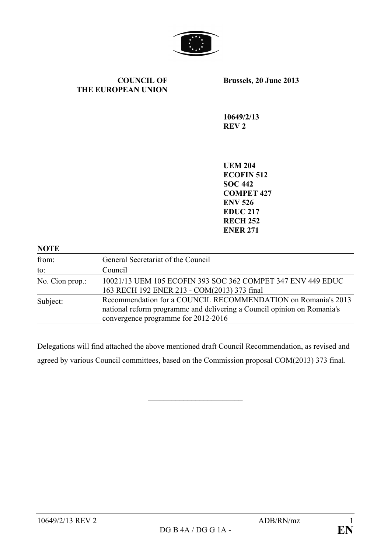

#### **COUNCIL OF THE EUROPEAN UNION**

**Brussels, 20 June 2013**

**10649/2/13 REV 2**

**UEM 204 ECOFIN 512 SOC 442 COMPET 427 ENV 526 EDUC 217 RECH 252 ENER 271**

| <b>NOTE</b>     |                                                                                                                                                                                 |
|-----------------|---------------------------------------------------------------------------------------------------------------------------------------------------------------------------------|
| from:           | General Secretariat of the Council                                                                                                                                              |
| to:             | Council                                                                                                                                                                         |
| No. Cion prop.: | 10021/13 UEM 105 ECOFIN 393 SOC 362 COMPET 347 ENV 449 EDUC<br>163 RECH 192 ENER 213 - COM(2013) 373 final                                                                      |
| Subject:        | Recommendation for a COUNCIL RECOMMENDATION on Romania's 2013<br>national reform programme and delivering a Council opinion on Romania's<br>convergence programme for 2012-2016 |

Delegations will find attached the above mentioned draft Council Recommendation, as revised and agreed by various Council committees, based on the Commission proposal COM(2013) 373 final.

 $\overline{\phantom{a}}$  , which is a set of the set of the set of the set of the set of the set of the set of the set of the set of the set of the set of the set of the set of the set of the set of the set of the set of the set of th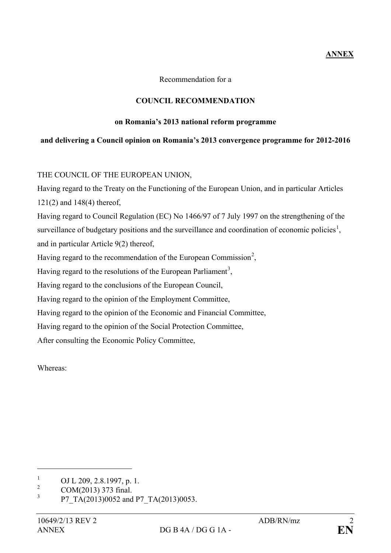## **ANNEX**

Recommendation for a

## **COUNCIL RECOMMENDATION**

### **on Romania's 2013 national reform programme**

# **and delivering a Council opinion on Romania's 2013 convergence programme for 2012-2016**

THE COUNCIL OF THE EUROPEAN UNION,

Having regard to the Treaty on the Functioning of the European Union, and in particular Articles 121(2) and 148(4) thereof,

Having regard to Council Regulation (EC) No 1466/97 of 7 July 1997 on the strengthening of the surveillance of budgetary positions and the surveillance and coordination of economic policies<sup>[1](#page-1-0)</sup>, and in particular Article 9(2) thereof,

Having regard to the recommendation of the European Commission<sup>[2](#page-1-1)</sup>,

Having regard to the resolutions of the European Parliament<sup>[3](#page-1-2)</sup>,

Having regard to the conclusions of the European Council,

Having regard to the opinion of the Employment Committee,

Having regard to the opinion of the Economic and Financial Committee,

Having regard to the opinion of the Social Protection Committee,

After consulting the Economic Policy Committee,

Whereas:

 $\overline{a}$ 

<span id="page-1-0"></span> $\frac{1}{2}$  OJ L 209, 2.8.1997, p. 1.

<span id="page-1-1"></span> $2 \text{COM}(2013)$  373 final.

<span id="page-1-2"></span><sup>3</sup> P7\_TA(2013)0052 and P7\_TA(2013)0053.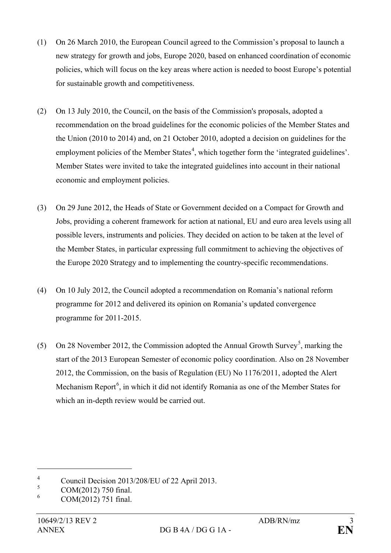- (1) On 26 March 2010, the European Council agreed to the Commission's proposal to launch a new strategy for growth and jobs, Europe 2020, based on enhanced coordination of economic policies, which will focus on the key areas where action is needed to boost Europe's potential for sustainable growth and competitiveness.
- (2) On 13 July 2010, the Council, on the basis of the Commission's proposals, adopted a recommendation on the broad guidelines for the economic policies of the Member States and the Union (2010 to 2014) and, on 21 October 2010, adopted a decision on guidelines for the employment policies of the Member States<sup>[4](#page-2-0)</sup>, which together form the 'integrated guidelines'. Member States were invited to take the integrated guidelines into account in their national economic and employment policies.
- (3) On 29 June 2012, the Heads of State or Government decided on a Compact for Growth and Jobs, providing a coherent framework for action at national, EU and euro area levels using all possible levers, instruments and policies. They decided on action to be taken at the level of the Member States, in particular expressing full commitment to achieving the objectives of the Europe 2020 Strategy and to implementing the country-specific recommendations.
- (4) On 10 July 2012, the Council adopted a recommendation on Romania's national reform programme for 2012 and delivered its opinion on Romania's updated convergence programme for 2011-2015.
- ([5](#page-2-1)) On 28 November 2012, the Commission adopted the Annual Growth Survey<sup>5</sup>, marking the start of the 2013 European Semester of economic policy coordination. Also on 28 November 2012, the Commission, on the basis of Regulation (EU) No 1176/2011, adopted the Alert Mechanism Report<sup>[6](#page-2-2)</sup>, in which it did not identify Romania as one of the Member States for which an in-depth review would be carried out.

 $\overline{a}$ 

<span id="page-2-0"></span><sup>&</sup>lt;sup>4</sup> Council Decision 2013/208/EU of 22 April 2013.

<span id="page-2-1"></span> $\frac{5}{6}$  COM(2012) 750 final.

<span id="page-2-2"></span><sup>6</sup> COM(2012) 751 final.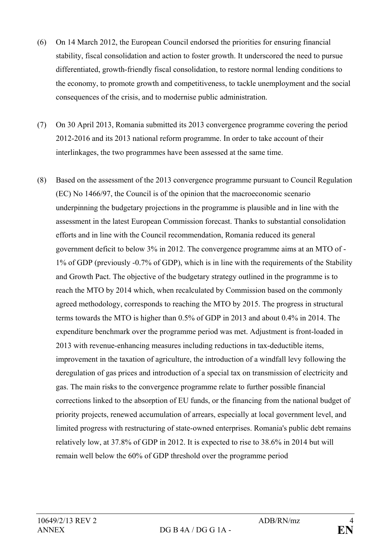- (6) On 14 March 2012, the European Council endorsed the priorities for ensuring financial stability, fiscal consolidation and action to foster growth. It underscored the need to pursue differentiated, growth-friendly fiscal consolidation, to restore normal lending conditions to the economy, to promote growth and competitiveness, to tackle unemployment and the social consequences of the crisis, and to modernise public administration.
- (7) On 30 April 2013, Romania submitted its 2013 convergence programme covering the period 2012-2016 and its 2013 national reform programme. In order to take account of their interlinkages, the two programmes have been assessed at the same time.
- (8) Based on the assessment of the 2013 convergence programme pursuant to Council Regulation (EC) No 1466/97, the Council is of the opinion that the macroeconomic scenario underpinning the budgetary projections in the programme is plausible and in line with the assessment in the latest European Commission forecast. Thanks to substantial consolidation efforts and in line with the Council recommendation, Romania reduced its general government deficit to below 3% in 2012. The convergence programme aims at an MTO of - 1% of GDP (previously -0.7% of GDP), which is in line with the requirements of the Stability and Growth Pact. The objective of the budgetary strategy outlined in the programme is to reach the MTO by 2014 which, when recalculated by Commission based on the commonly agreed methodology, corresponds to reaching the MTO by 2015. The progress in structural terms towards the MTO is higher than 0.5% of GDP in 2013 and about 0.4% in 2014. The expenditure benchmark over the programme period was met. Adjustment is front-loaded in 2013 with revenue-enhancing measures including reductions in tax-deductible items, improvement in the taxation of agriculture, the introduction of a windfall levy following the deregulation of gas prices and introduction of a special tax on transmission of electricity and gas. The main risks to the convergence programme relate to further possible financial corrections linked to the absorption of EU funds, or the financing from the national budget of priority projects, renewed accumulation of arrears, especially at local government level, and limited progress with restructuring of state-owned enterprises. Romania's public debt remains relatively low, at 37.8% of GDP in 2012. It is expected to rise to 38.6% in 2014 but will remain well below the 60% of GDP threshold over the programme period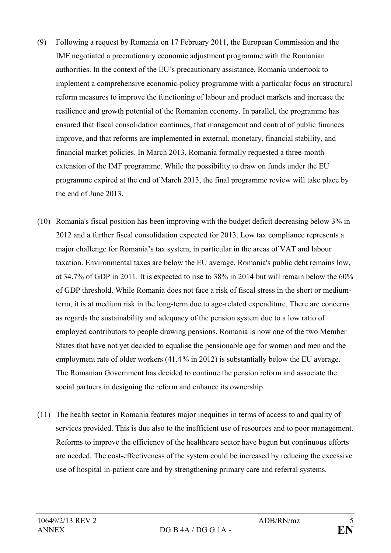- (9) Following a request by Romania on 17 February 2011, the European Commission and the IMF negotiated a precautionary economic adjustment programme with the Romanian authorities. In the context of the EU's precautionary assistance, Romania undertook to implement a comprehensive economic-policy programme with a particular focus on structural reform measures to improve the functioning of labour and product markets and increase the resilience and growth potential of the Romanian economy. In parallel, the programme has ensured that fiscal consolidation continues, that management and control of public finances improve, and that reforms are implemented in external, monetary, financial stability, and financial market policies. In March 2013, Romania formally requested a three-month extension of the IMF programme. While the possibility to draw on funds under the EU programme expired at the end of March 2013, the final programme review will take place by the end of June 2013.
- (10) Romania's fiscal position has been improving with the budget deficit decreasing below 3% in 2012 and a further fiscal consolidation expected for 2013. Low tax compliance represents a major challenge for Romania's tax system, in particular in the areas of VAT and labour taxation. Environmental taxes are below the EU average. Romania's public debt remains low, at 34.7% of GDP in 2011. It is expected to rise to 38% in 2014 but will remain below the 60% of GDP threshold. While Romania does not face a risk of fiscal stress in the short or mediumterm, it is at medium risk in the long-term due to age-related expenditure. There are concerns as regards the sustainability and adequacy of the pension system due to a low ratio of employed contributors to people drawing pensions. Romania is now one of the two Member States that have not yet decided to equalise the pensionable age for women and men and the employment rate of older workers (41.4% in 2012) is substantially below the EU average. The Romanian Government has decided to continue the pension reform and associate the social partners in designing the reform and enhance its ownership.
- (11) The health sector in Romania features major inequities in terms of access to and quality of services provided. This is due also to the inefficient use of resources and to poor management. Reforms to improve the efficiency of the healthcare sector have begun but continuous efforts are needed. The cost-effectiveness of the system could be increased by reducing the excessive use of hospital in-patient care and by strengthening primary care and referral systems.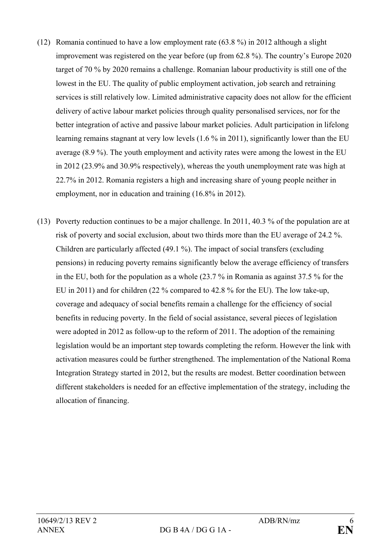- (12) Romania continued to have a low employment rate (63.8 %) in 2012 although a slight improvement was registered on the year before (up from 62.8 %). The country's Europe 2020 target of 70 % by 2020 remains a challenge. Romanian labour productivity is still one of the lowest in the EU. The quality of public employment activation, job search and retraining services is still relatively low. Limited administrative capacity does not allow for the efficient delivery of active labour market policies through quality personalised services, nor for the better integration of active and passive labour market policies. Adult participation in lifelong learning remains stagnant at very low levels (1.6 % in 2011), significantly lower than the EU average (8.9 %). The youth employment and activity rates were among the lowest in the EU in 2012 (23.9% and 30.9% respectively), whereas the youth unemployment rate was high at 22.7% in 2012. Romania registers a high and increasing share of young people neither in employment, nor in education and training (16.8% in 2012).
- (13) Poverty reduction continues to be a major challenge. In 2011, 40.3 % of the population are at risk of poverty and social exclusion, about two thirds more than the EU average of 24.2 %. Children are particularly affected (49.1 %). The impact of social transfers (excluding pensions) in reducing poverty remains significantly below the average efficiency of transfers in the EU, both for the population as a whole (23.7 % in Romania as against 37.5 % for the EU in 2011) and for children (22 % compared to 42.8 % for the EU). The low take-up, coverage and adequacy of social benefits remain a challenge for the efficiency of social benefits in reducing poverty. In the field of social assistance, several pieces of legislation were adopted in 2012 as follow-up to the reform of 2011. The adoption of the remaining legislation would be an important step towards completing the reform. However the link with activation measures could be further strengthened. The implementation of the National Roma Integration Strategy started in 2012, but the results are modest. Better coordination between different stakeholders is needed for an effective implementation of the strategy, including the allocation of financing.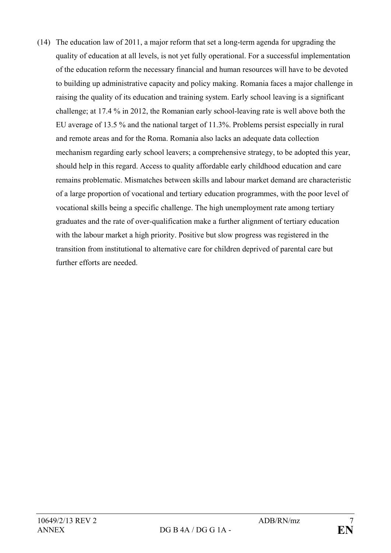(14) The education law of 2011, a major reform that set a long-term agenda for upgrading the quality of education at all levels, is not yet fully operational. For a successful implementation of the education reform the necessary financial and human resources will have to be devoted to building up administrative capacity and policy making. Romania faces a major challenge in raising the quality of its education and training system. Early school leaving is a significant challenge; at 17.4 % in 2012, the Romanian early school-leaving rate is well above both the EU average of 13.5 % and the national target of 11.3%. Problems persist especially in rural and remote areas and for the Roma. Romania also lacks an adequate data collection mechanism regarding early school leavers; a comprehensive strategy, to be adopted this year, should help in this regard. Access to quality affordable early childhood education and care remains problematic. Mismatches between skills and labour market demand are characteristic of a large proportion of vocational and tertiary education programmes, with the poor level of vocational skills being a specific challenge. The high unemployment rate among tertiary graduates and the rate of over-qualification make a further alignment of tertiary education with the labour market a high priority. Positive but slow progress was registered in the transition from institutional to alternative care for children deprived of parental care but further efforts are needed.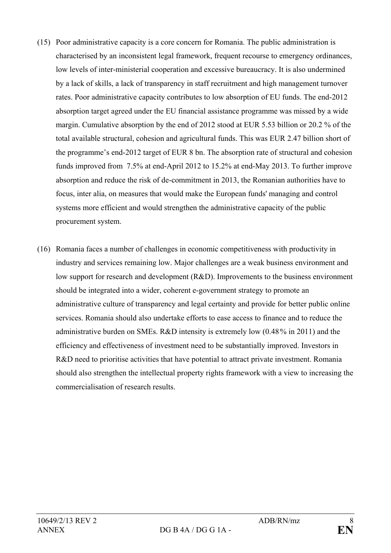- (15) Poor administrative capacity is a core concern for Romania. The public administration is characterised by an inconsistent legal framework, frequent recourse to emergency ordinances, low levels of inter-ministerial cooperation and excessive bureaucracy. It is also undermined by a lack of skills, a lack of transparency in staff recruitment and high management turnover rates. Poor administrative capacity contributes to low absorption of EU funds. The end-2012 absorption target agreed under the EU financial assistance programme was missed by a wide margin. Cumulative absorption by the end of 2012 stood at EUR 5.53 billion or 20.2 % of the total available structural, cohesion and agricultural funds. This was EUR 2.47 billion short of the programme's end-2012 target of EUR 8 bn. The absorption rate of structural and cohesion funds improved from 7.5% at end-April 2012 to 15.2% at end-May 2013. To further improve absorption and reduce the risk of de-commitment in 2013, the Romanian authorities have to focus, inter alia, on measures that would make the European funds' managing and control systems more efficient and would strengthen the administrative capacity of the public procurement system.
- (16) Romania faces a number of challenges in economic competitiveness with productivity in industry and services remaining low. Major challenges are a weak business environment and low support for research and development (R&D). Improvements to the business environment should be integrated into a wider, coherent e-government strategy to promote an administrative culture of transparency and legal certainty and provide for better public online services. Romania should also undertake efforts to ease access to finance and to reduce the administrative burden on SMEs. R&D intensity is extremely low (0.48% in 2011) and the efficiency and effectiveness of investment need to be substantially improved. Investors in R&D need to prioritise activities that have potential to attract private investment. Romania should also strengthen the intellectual property rights framework with a view to increasing the commercialisation of research results.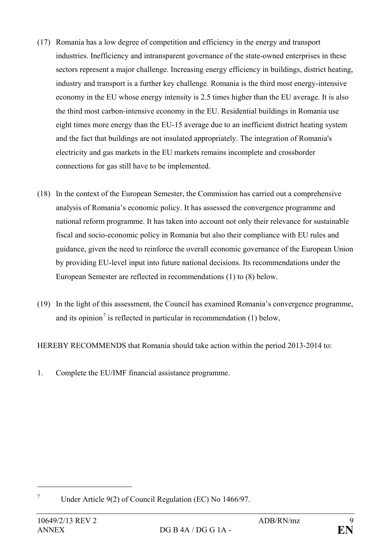- (17) Romania has a low degree of competition and efficiency in the energy and transport industries. Inefficiency and intransparent governance of the state-owned enterprises in these sectors represent a major challenge. Increasing energy efficiency in buildings, district heating, industry and transport is a further key challenge. Romania is the third most energy-intensive economy in the EU whose energy intensity is 2.5 times higher than the EU average. It is also the third most carbon-intensive economy in the EU. Residential buildings in Romania use eight times more energy than the EU-15 average due to an inefficient district heating system and the fact that buildings are not insulated appropriately. The integration of Romania's electricity and gas markets in the EU markets remains incomplete and crossborder connections for gas still have to be implemented.
- (18) In the context of the European Semester, the Commission has carried out a comprehensive analysis of Romania's economic policy. It has assessed the convergence programme and national reform programme. It has taken into account not only their relevance for sustainable fiscal and socio-economic policy in Romania but also their compliance with EU rules and guidance, given the need to reinforce the overall economic governance of the European Union by providing EU-level input into future national decisions. Its recommendations under the European Semester are reflected in recommendations (1) to (8) below.
- (19) In the light of this assessment, the Council has examined Romania's convergence programme, and its opinion<sup>[7](#page-8-0)</sup> is reflected in particular in recommendation  $(1)$  below,

HEREBY RECOMMENDS that Romania should take action within the period 2013-2014 to:

1. Complete the EU/IMF financial assistance programme.

 $\overline{a}$ 

<span id="page-8-0"></span><sup>7</sup> Under Article 9(2) of Council Regulation (EC) No 1466/97.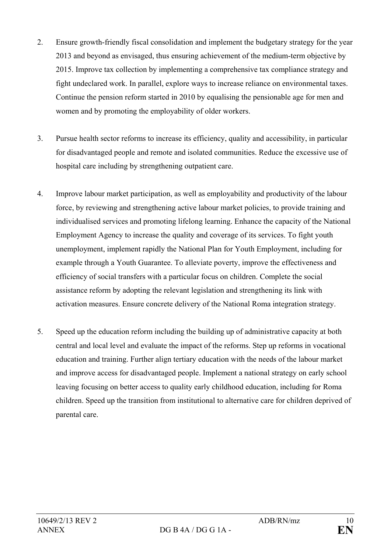- 2. Ensure growth-friendly fiscal consolidation and implement the budgetary strategy for the year 2013 and beyond as envisaged, thus ensuring achievement of the medium-term objective by 2015. Improve tax collection by implementing a comprehensive tax compliance strategy and fight undeclared work. In parallel, explore ways to increase reliance on environmental taxes. Continue the pension reform started in 2010 by equalising the pensionable age for men and women and by promoting the employability of older workers.
- 3. Pursue health sector reforms to increase its efficiency, quality and accessibility, in particular for disadvantaged people and remote and isolated communities. Reduce the excessive use of hospital care including by strengthening outpatient care.
- 4. Improve labour market participation, as well as employability and productivity of the labour force, by reviewing and strengthening active labour market policies, to provide training and individualised services and promoting lifelong learning. Enhance the capacity of the National Employment Agency to increase the quality and coverage of its services. To fight youth unemployment, implement rapidly the National Plan for Youth Employment, including for example through a Youth Guarantee. To alleviate poverty, improve the effectiveness and efficiency of social transfers with a particular focus on children. Complete the social assistance reform by adopting the relevant legislation and strengthening its link with activation measures. Ensure concrete delivery of the National Roma integration strategy.
- 5. Speed up the education reform including the building up of administrative capacity at both central and local level and evaluate the impact of the reforms. Step up reforms in vocational education and training. Further align tertiary education with the needs of the labour market and improve access for disadvantaged people. Implement a national strategy on early school leaving focusing on better access to quality early childhood education, including for Roma children. Speed up the transition from institutional to alternative care for children deprived of parental care.